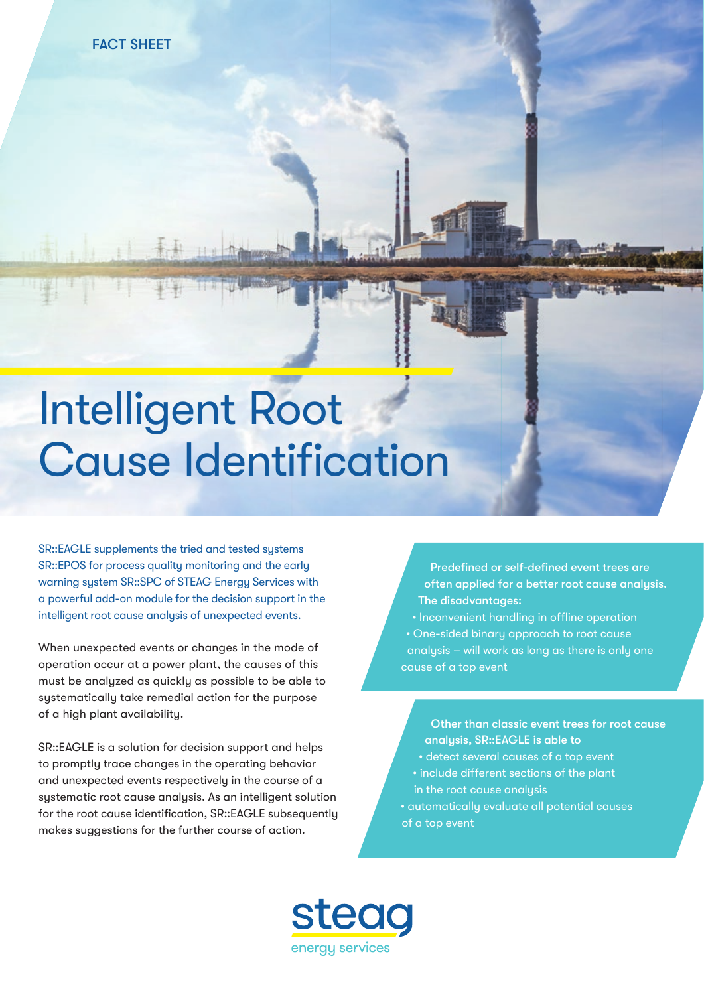## Intelligent Root **Cause Identification**

SR::EAGLE supplements the tried and tested systems SR::EPOS for process quality monitoring and the early warning system SR::SPC of STEAG Energy Services with a powerful add-on module for the decision support in the intelligent root cause analysis of unexpected events.

When unexpected events or changes in the mode of operation occur at a power plant, the causes of this must be analyzed as quickly as possible to be able to systematically take remedial action for the purpose of a high plant availability.

SR::EAGLE is a solution for decision support and helps to promptly trace changes in the operating behavior and unexpected events respectively in the course of a systematic root cause analysis. As an intelligent solution for the root cause identification, SR::EAGLE subsequently makes suggestions for the further course of action.

Predefined or self-defined event trees are often applied for a better root cause analysis. The disadvantages:

• Inconvenient handling in offline operation • One-sided binary approach to root cause analysis – will work as long as there is only one cause of a top event

Other than classic event trees for root cause analysis, SR::EAGLE is able to

- detect several causes of a top event
- include different sections of the plant in the root cause analysis
- automatically evaluate all potential causes of a top event